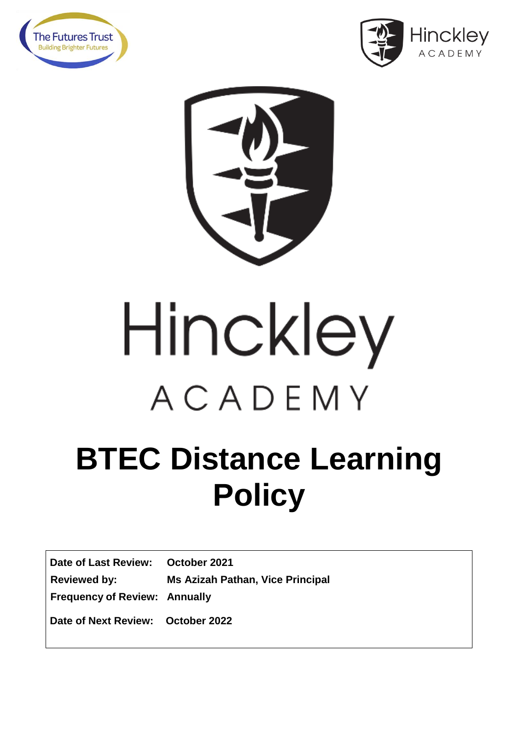





# Hinckley ACADEMY

## **BTEC Distance Learning Policy**

**Date of Last Review: October 2021 Reviewed by: Ms Azizah Pathan, Vice Principal Frequency of Review: Annually Date of Next Review: October 2022**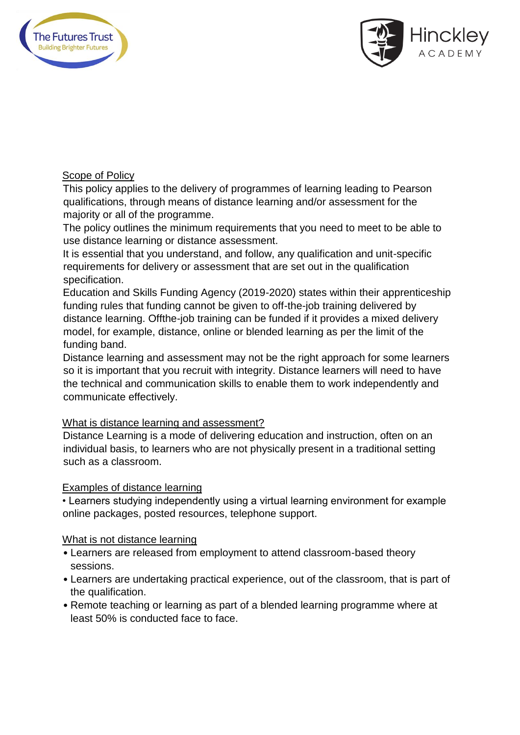



#### Scope of Policy

This policy applies to the delivery of programmes of learning leading to Pearson qualifications, through means of distance learning and/or assessment for the majority or all of the programme.

The policy outlines the minimum requirements that you need to meet to be able to use distance learning or distance assessment.

It is essential that you understand, and follow, any qualification and unit-specific requirements for delivery or assessment that are set out in the qualification specification.

Education and Skills Funding Agency (2019-2020) states within their apprenticeship funding rules that funding cannot be given to off-the-job training delivered by distance learning. Offthe-job training can be funded if it provides a mixed delivery model, for example, distance, online or blended learning as per the limit of the funding band.

Distance learning and assessment may not be the right approach for some learners so it is important that you recruit with integrity. Distance learners will need to have the technical and communication skills to enable them to work independently and communicate effectively.

#### What is distance learning and assessment?

Distance Learning is a mode of delivering education and instruction, often on an individual basis, to learners who are not physically present in a traditional setting such as a classroom.

#### Examples of distance learning

• Learners studying independently using a virtual learning environment for example online packages, posted resources, telephone support.

#### What is not distance learning

- Learners are released from employment to attend classroom-based theory sessions.
- Learners are undertaking practical experience, out of the classroom, that is part of the qualification.
- Remote teaching or learning as part of a blended learning programme where at least 50% is conducted face to face.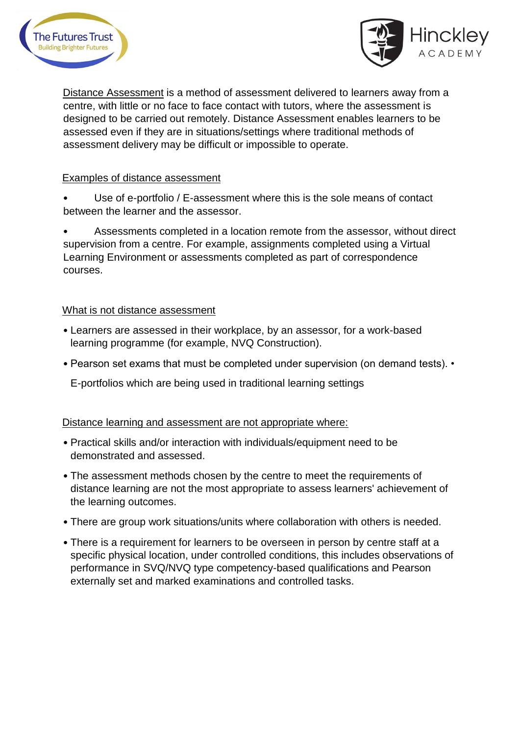



Distance Assessment is a method of assessment delivered to learners away from a centre, with little or no face to face contact with tutors, where the assessment is designed to be carried out remotely. Distance Assessment enables learners to be assessed even if they are in situations/settings where traditional methods of assessment delivery may be difficult or impossible to operate.

#### Examples of distance assessment

Use of e-portfolio / E-assessment where this is the sole means of contact between the learner and the assessor.

• Assessments completed in a location remote from the assessor, without direct supervision from a centre. For example, assignments completed using a Virtual Learning Environment or assessments completed as part of correspondence courses.

#### What is not distance assessment

- Learners are assessed in their workplace, by an assessor, for a work-based learning programme (for example, NVQ Construction).
- Pearson set exams that must be completed under supervision (on demand tests). •

E-portfolios which are being used in traditional learning settings

#### Distance learning and assessment are not appropriate where:

- Practical skills and/or interaction with individuals/equipment need to be demonstrated and assessed.
- The assessment methods chosen by the centre to meet the requirements of distance learning are not the most appropriate to assess learners' achievement of the learning outcomes.
- There are group work situations/units where collaboration with others is needed.
- There is a requirement for learners to be overseen in person by centre staff at a specific physical location, under controlled conditions, this includes observations of performance in SVQ/NVQ type competency-based qualifications and Pearson externally set and marked examinations and controlled tasks.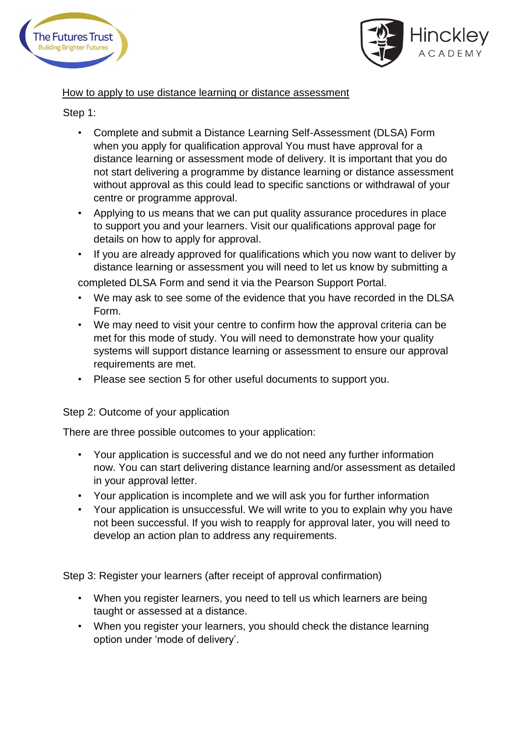



#### How to apply to use distance learning or distance assessment

#### Step 1:

- Complete and submit a Distance Learning Self-Assessment (DLSA) Form when you apply for qualification approval You must have approval for a distance learning or assessment mode of delivery. It is important that you do not start delivering a programme by distance learning or distance assessment without approval as this could lead to specific sanctions or withdrawal of your centre or programme approval.
- Applying to us means that we can put quality assurance procedures in place to support you and your learners. Visit our qualifications approval page for details on how to apply for approval.
- If you are already approved for qualifications which you now want to deliver by distance learning or assessment you will need to let us know by submitting a

completed DLSA Form and send it via the Pearson Support Portal.

- We may ask to see some of the evidence that you have recorded in the DLSA Form.
- We may need to visit your centre to confirm how the approval criteria can be met for this mode of study. You will need to demonstrate how your quality systems will support distance learning or assessment to ensure our approval requirements are met.
- Please see section 5 for other useful documents to support you.

#### Step 2: Outcome of your application

There are three possible outcomes to your application:

- Your application is successful and we do not need any further information now. You can start delivering distance learning and/or assessment as detailed in your approval letter.
- Your application is incomplete and we will ask you for further information
- Your application is unsuccessful. We will write to you to explain why you have not been successful. If you wish to reapply for approval later, you will need to develop an action plan to address any requirements.

Step 3: Register your learners (after receipt of approval confirmation)

- When you register learners, you need to tell us which learners are being taught or assessed at a distance.
- When you register your learners, you should check the distance learning option under 'mode of delivery'.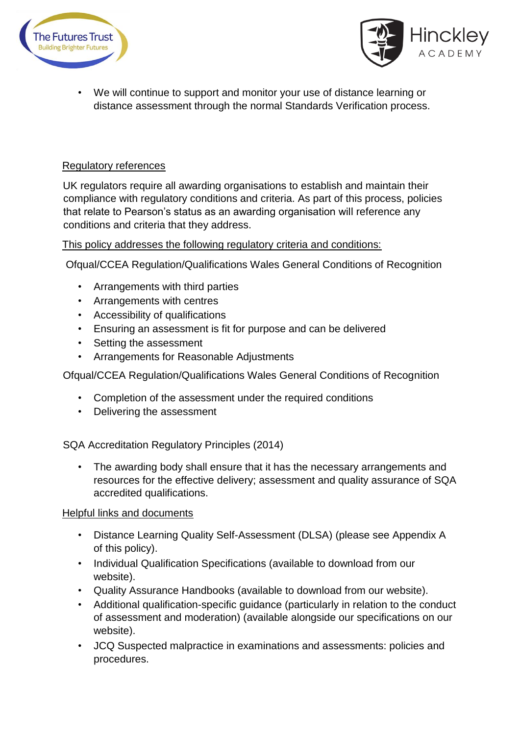



• We will continue to support and monitor your use of distance learning or distance assessment through the normal Standards Verification process.

#### Regulatory references

UK regulators require all awarding organisations to establish and maintain their compliance with regulatory conditions and criteria. As part of this process, policies that relate to Pearson's status as an awarding organisation will reference any conditions and criteria that they address.

#### This policy addresses the following regulatory criteria and conditions:

Ofqual/CCEA Regulation/Qualifications Wales General Conditions of Recognition

- Arrangements with third parties
- Arrangements with centres
- Accessibility of qualifications
- Ensuring an assessment is fit for purpose and can be delivered
- Setting the assessment
- Arrangements for Reasonable Adjustments

Ofqual/CCEA Regulation/Qualifications Wales General Conditions of Recognition

- Completion of the assessment under the required conditions
- Delivering the assessment

SQA Accreditation Regulatory Principles (2014)

• The awarding body shall ensure that it has the necessary arrangements and resources for the effective delivery; assessment and quality assurance of SQA accredited qualifications.

#### Helpful links and documents

- Distance Learning Quality Self-Assessment (DLSA) (please see Appendix A of this policy).
- Individual Qualification Specifications (available to download from our website).
- Quality Assurance Handbooks (available to download from our website).
- Additional qualification-specific guidance (particularly in relation to the conduct of assessment and moderation) (available alongside our specifications on our website).
- JCQ Suspected malpractice in examinations and assessments: policies and procedures.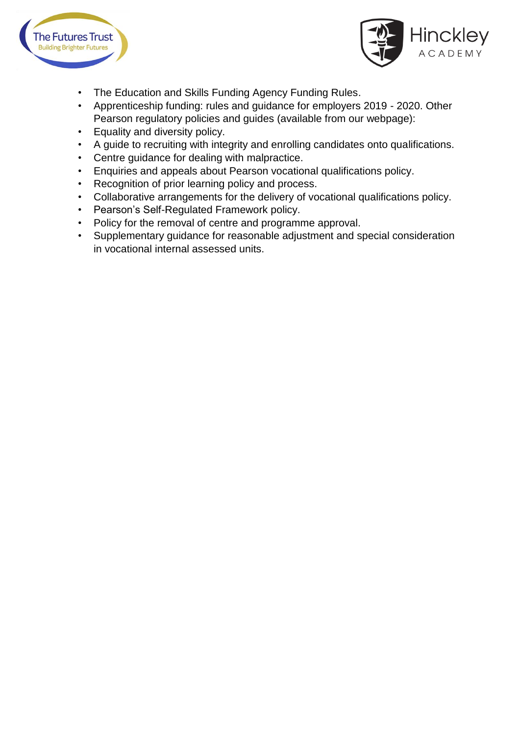



- The Education and Skills Funding Agency Funding Rules.
- Apprenticeship funding: rules and guidance for employers 2019 2020. Other Pearson regulatory policies and guides (available from our webpage):
- Equality and diversity policy.
- A guide to recruiting with integrity and enrolling candidates onto qualifications.
- Centre guidance for dealing with malpractice.
- Enquiries and appeals about Pearson vocational qualifications policy.
- Recognition of prior learning policy and process.
- Collaborative arrangements for the delivery of vocational qualifications policy.
- Pearson's Self-Regulated Framework policy.
- Policy for the removal of centre and programme approval.
- Supplementary guidance for reasonable adjustment and special consideration in vocational internal assessed units.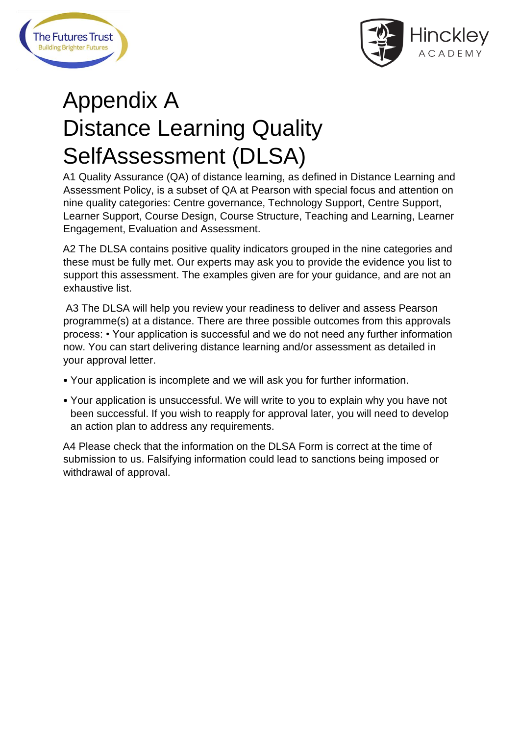



### Appendix A Distance Learning Quality SelfAssessment (DLSA)

A1 Quality Assurance (QA) of distance learning, as defined in Distance Learning and Assessment Policy, is a subset of QA at Pearson with special focus and attention on nine quality categories: Centre governance, Technology Support, Centre Support, Learner Support, Course Design, Course Structure, Teaching and Learning, Learner Engagement, Evaluation and Assessment.

A2 The DLSA contains positive quality indicators grouped in the nine categories and these must be fully met. Our experts may ask you to provide the evidence you list to support this assessment. The examples given are for your guidance, and are not an exhaustive list.

A3 The DLSA will help you review your readiness to deliver and assess Pearson programme(s) at a distance. There are three possible outcomes from this approvals process: • Your application is successful and we do not need any further information now. You can start delivering distance learning and/or assessment as detailed in your approval letter.

- Your application is incomplete and we will ask you for further information.
- Your application is unsuccessful. We will write to you to explain why you have not been successful. If you wish to reapply for approval later, you will need to develop an action plan to address any requirements.

A4 Please check that the information on the DLSA Form is correct at the time of submission to us. Falsifying information could lead to sanctions being imposed or withdrawal of approval.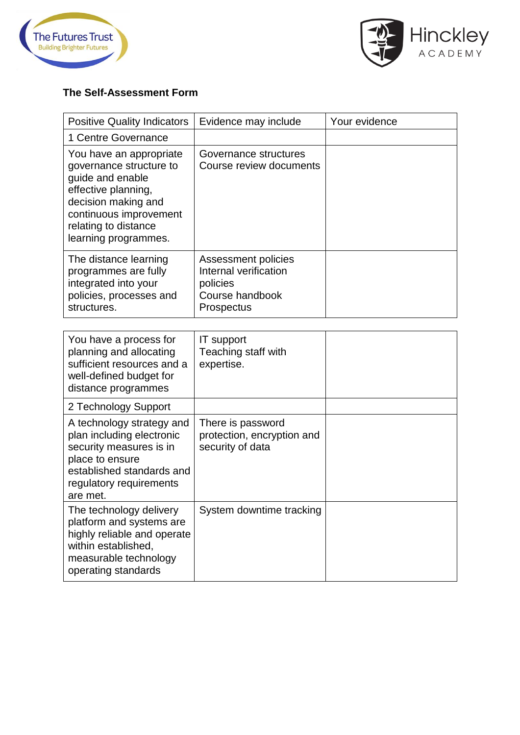



#### **The Self-Assessment Form**

| <b>Positive Quality Indicators</b>                                                                                                                                                             | Evidence may include                                                                             | Your evidence |
|------------------------------------------------------------------------------------------------------------------------------------------------------------------------------------------------|--------------------------------------------------------------------------------------------------|---------------|
| 1 Centre Governance                                                                                                                                                                            |                                                                                                  |               |
| You have an appropriate<br>governance structure to<br>guide and enable<br>effective planning,<br>decision making and<br>continuous improvement<br>relating to distance<br>learning programmes. | Governance structures<br>Course review documents                                                 |               |
| The distance learning<br>programmes are fully<br>integrated into your<br>policies, processes and<br>structures.                                                                                | Assessment policies<br>Internal verification<br>policies<br>Course handbook<br><b>Prospectus</b> |               |
| You have a process for<br>planning and allocating<br>sufficient resources and a                                                                                                                | IT support<br>Teaching staff with<br>expertise.                                                  |               |

| well-defined budget for<br>distance programmes                                                                                                                           |                                                                     |  |
|--------------------------------------------------------------------------------------------------------------------------------------------------------------------------|---------------------------------------------------------------------|--|
| 2 Technology Support                                                                                                                                                     |                                                                     |  |
| A technology strategy and<br>plan including electronic<br>security measures is in<br>place to ensure<br>established standards and<br>regulatory requirements<br>are met. | There is password<br>protection, encryption and<br>security of data |  |
| The technology delivery<br>platform and systems are<br>highly reliable and operate<br>within established,<br>measurable technology<br>operating standards                | System downtime tracking                                            |  |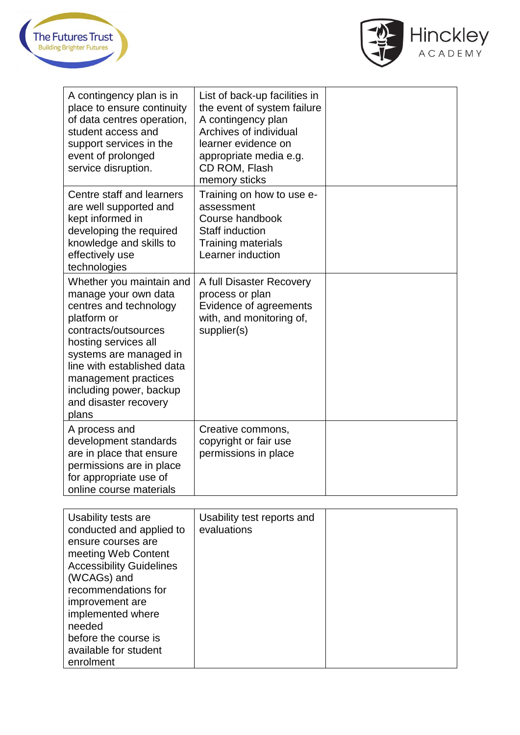



| A contingency plan is in<br>place to ensure continuity<br>of data centres operation,<br>student access and<br>support services in the<br>event of prolonged<br>service disruption.                                                                                                     | List of back-up facilities in<br>the event of system failure<br>A contingency plan<br>Archives of individual<br>learner evidence on<br>appropriate media e.g.<br>CD ROM, Flash<br>memory sticks |  |
|----------------------------------------------------------------------------------------------------------------------------------------------------------------------------------------------------------------------------------------------------------------------------------------|-------------------------------------------------------------------------------------------------------------------------------------------------------------------------------------------------|--|
| Centre staff and learners<br>are well supported and<br>kept informed in<br>developing the required<br>knowledge and skills to<br>effectively use<br>technologies                                                                                                                       | Training on how to use e-<br>assessment<br>Course handbook<br><b>Staff induction</b><br><b>Training materials</b><br>Learner induction                                                          |  |
| Whether you maintain and<br>manage your own data<br>centres and technology<br>platform or<br>contracts/outsources<br>hosting services all<br>systems are managed in<br>line with established data<br>management practices<br>including power, backup<br>and disaster recovery<br>plans | A full Disaster Recovery<br>process or plan<br>Evidence of agreements<br>with, and monitoring of,<br>supplier(s)                                                                                |  |
| A process and<br>development standards<br>are in place that ensure<br>permissions are in place<br>for appropriate use of<br>online course materials                                                                                                                                    | Creative commons,<br>copyright or fair use<br>permissions in place                                                                                                                              |  |

| Usability tests are<br>conducted and applied to<br>ensure courses are<br>meeting Web Content<br><b>Accessibility Guidelines</b><br>(WCAGs) and<br>recommendations for<br>improvement are<br>implemented where<br>needed<br>before the course is | Usability test reports and<br>evaluations |  |
|-------------------------------------------------------------------------------------------------------------------------------------------------------------------------------------------------------------------------------------------------|-------------------------------------------|--|
| available for student<br>enrolment                                                                                                                                                                                                              |                                           |  |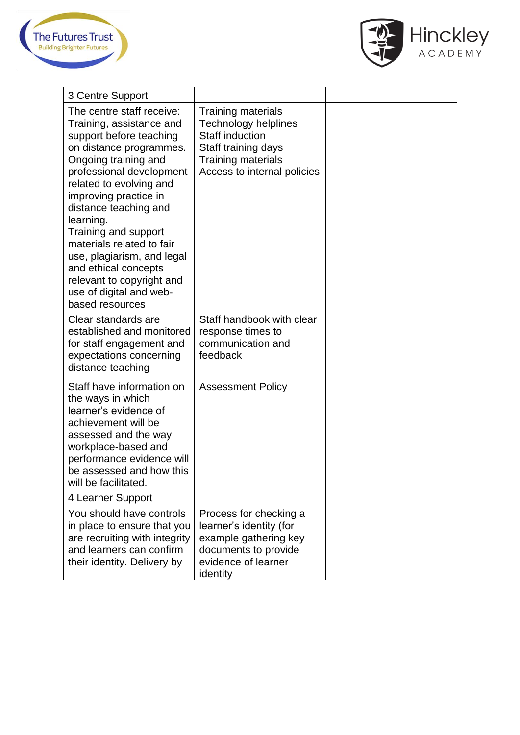



| 3 Centre Support                                                                                                                                                                                                                                                                                                                                                                                                                                |                                                                                                                                                                       |  |
|-------------------------------------------------------------------------------------------------------------------------------------------------------------------------------------------------------------------------------------------------------------------------------------------------------------------------------------------------------------------------------------------------------------------------------------------------|-----------------------------------------------------------------------------------------------------------------------------------------------------------------------|--|
| The centre staff receive:<br>Training, assistance and<br>support before teaching<br>on distance programmes.<br>Ongoing training and<br>professional development<br>related to evolving and<br>improving practice in<br>distance teaching and<br>learning.<br>Training and support<br>materials related to fair<br>use, plagiarism, and legal<br>and ethical concepts<br>relevant to copyright and<br>use of digital and web-<br>based resources | <b>Training materials</b><br><b>Technology helplines</b><br><b>Staff induction</b><br>Staff training days<br><b>Training materials</b><br>Access to internal policies |  |
| Clear standards are<br>established and monitored<br>for staff engagement and<br>expectations concerning<br>distance teaching                                                                                                                                                                                                                                                                                                                    | Staff handbook with clear<br>response times to<br>communication and<br>feedback                                                                                       |  |
| Staff have information on<br>the ways in which<br>learner's evidence of<br>achievement will be<br>assessed and the way<br>workplace-based and<br>performance evidence will<br>be assessed and how this<br>will be facilitated.                                                                                                                                                                                                                  | <b>Assessment Policy</b>                                                                                                                                              |  |
| 4 Learner Support                                                                                                                                                                                                                                                                                                                                                                                                                               |                                                                                                                                                                       |  |
| You should have controls<br>in place to ensure that you<br>are recruiting with integrity<br>and learners can confirm<br>their identity. Delivery by                                                                                                                                                                                                                                                                                             | Process for checking a<br>learner's identity (for<br>example gathering key<br>documents to provide<br>evidence of learner<br>identity                                 |  |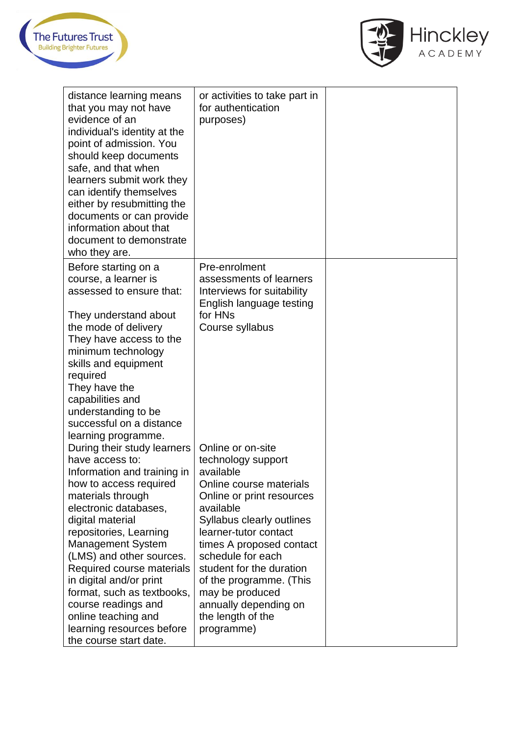



| distance learning means<br>that you may not have<br>evidence of an<br>individual's identity at the<br>point of admission. You<br>should keep documents<br>safe, and that when<br>learners submit work they<br>can identify themselves<br>either by resubmitting the<br>documents or can provide<br>information about that<br>document to demonstrate<br>who they are. | or activities to take part in<br>for authentication<br>purposes)                                                                                                          |  |
|-----------------------------------------------------------------------------------------------------------------------------------------------------------------------------------------------------------------------------------------------------------------------------------------------------------------------------------------------------------------------|---------------------------------------------------------------------------------------------------------------------------------------------------------------------------|--|
| Before starting on a<br>course, a learner is<br>assessed to ensure that:<br>They understand about<br>the mode of delivery<br>They have access to the<br>minimum technology                                                                                                                                                                                            | Pre-enrolment<br>assessments of learners<br>Interviews for suitability<br>English language testing<br>for HNs<br>Course syllabus                                          |  |
| skills and equipment<br>required<br>They have the<br>capabilities and<br>understanding to be<br>successful on a distance<br>learning programme.                                                                                                                                                                                                                       |                                                                                                                                                                           |  |
| During their study learners<br>have access to:<br>Information and training in<br>how to access required<br>materials through<br>electronic databases,<br>digital material                                                                                                                                                                                             | Online or on-site<br>technology support<br>available<br>Online course materials<br>Online or print resources<br>available<br>Syllabus clearly outlines                    |  |
| repositories, Learning<br><b>Management System</b><br>(LMS) and other sources.<br>Required course materials<br>in digital and/or print<br>format, such as textbooks,<br>course readings and                                                                                                                                                                           | learner-tutor contact<br>times A proposed contact<br>schedule for each<br>student for the duration<br>of the programme. (This<br>may be produced<br>annually depending on |  |
| online teaching and<br>learning resources before<br>the course start date.                                                                                                                                                                                                                                                                                            | the length of the<br>programme)                                                                                                                                           |  |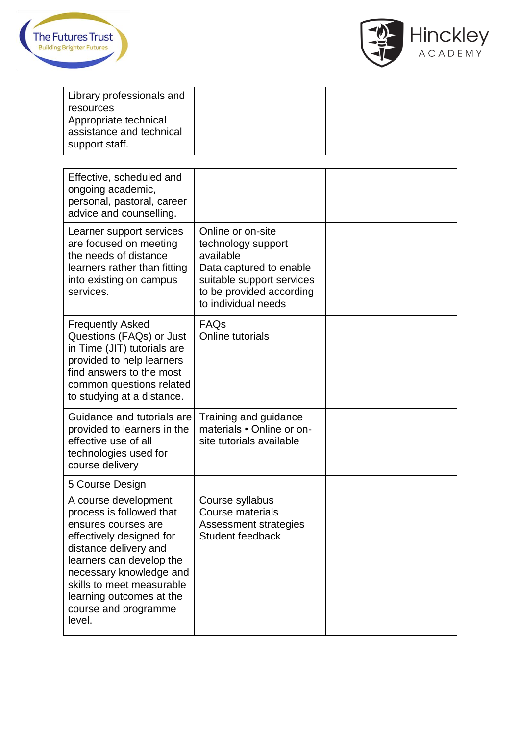



| Library professionals and                                           |  |
|---------------------------------------------------------------------|--|
| resources                                                           |  |
| Appropriate technical<br>assistance and technical<br>support staff. |  |

| Effective, scheduled and<br>ongoing academic,<br>personal, pastoral, career<br>advice and counselling.                                                                                                                                                                         |                                                                                                                                                                 |  |
|--------------------------------------------------------------------------------------------------------------------------------------------------------------------------------------------------------------------------------------------------------------------------------|-----------------------------------------------------------------------------------------------------------------------------------------------------------------|--|
| Learner support services<br>are focused on meeting<br>the needs of distance<br>learners rather than fitting<br>into existing on campus<br>services.                                                                                                                            | Online or on-site<br>technology support<br>available<br>Data captured to enable<br>suitable support services<br>to be provided according<br>to individual needs |  |
| <b>Frequently Asked</b><br>Questions (FAQs) or Just<br>in Time (JIT) tutorials are<br>provided to help learners<br>find answers to the most<br>common questions related<br>to studying at a distance.                                                                          | FAQs<br>Online tutorials                                                                                                                                        |  |
| Guidance and tutorials are<br>provided to learners in the<br>effective use of all<br>technologies used for<br>course delivery                                                                                                                                                  | Training and guidance<br>materials • Online or on-<br>site tutorials available                                                                                  |  |
| 5 Course Design                                                                                                                                                                                                                                                                |                                                                                                                                                                 |  |
| A course development<br>process is followed that<br>ensures courses are<br>effectively designed for<br>distance delivery and<br>learners can develop the<br>necessary knowledge and<br>skills to meet measurable<br>learning outcomes at the<br>course and programme<br>level. | Course syllabus<br><b>Course materials</b><br><b>Assessment strategies</b><br><b>Student feedback</b>                                                           |  |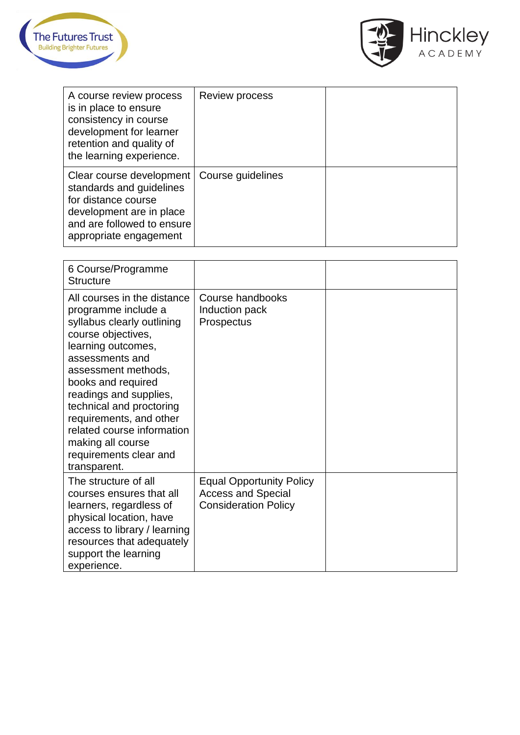



| A course review process<br>is in place to ensure<br>consistency in course<br>development for learner<br>retention and quality of<br>the learning experience.    | <b>Review process</b> |  |
|-----------------------------------------------------------------------------------------------------------------------------------------------------------------|-----------------------|--|
| Clear course development<br>standards and guidelines<br>for distance course<br>development are in place<br>and are followed to ensure<br>appropriate engagement | Course guidelines     |  |

| 6 Course/Programme<br><b>Structure</b>                                                                                                                                                                                                                                                                                                                                     |                                                                                             |  |
|----------------------------------------------------------------------------------------------------------------------------------------------------------------------------------------------------------------------------------------------------------------------------------------------------------------------------------------------------------------------------|---------------------------------------------------------------------------------------------|--|
| All courses in the distance<br>programme include a<br>syllabus clearly outlining<br>course objectives,<br>learning outcomes,<br>assessments and<br>assessment methods,<br>books and required<br>readings and supplies,<br>technical and proctoring<br>requirements, and other<br>related course information<br>making all course<br>requirements clear and<br>transparent. | Course handbooks<br>Induction pack<br>Prospectus                                            |  |
| The structure of all<br>courses ensures that all<br>learners, regardless of<br>physical location, have<br>access to library / learning<br>resources that adequately<br>support the learning<br>experience.                                                                                                                                                                 | <b>Equal Opportunity Policy</b><br><b>Access and Special</b><br><b>Consideration Policy</b> |  |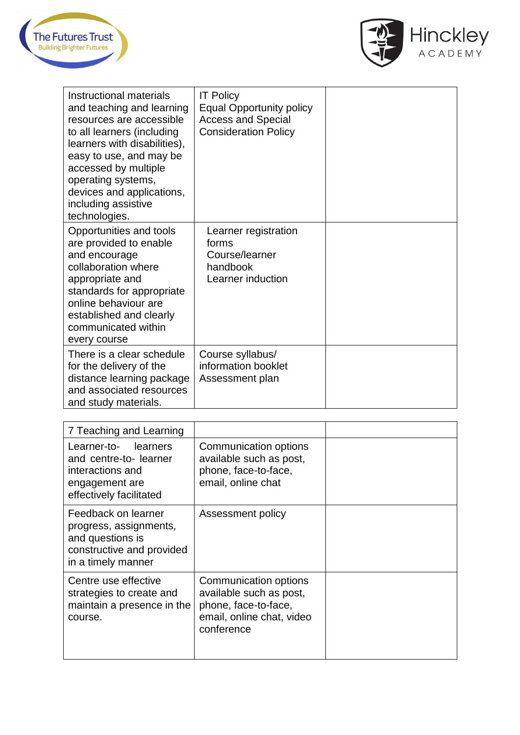



| Instructional materials<br>and teaching and learning<br>resources are accessible<br>to all learners (including<br>learners with disabilities),<br>easy to use, and may be<br>accessed by multiple<br>operating systems,<br>devices and applications,<br>including assistive<br>technologies. | <b>IT Policy</b><br><b>Equal Opportunity policy</b><br><b>Access and Special</b><br><b>Consideration Policy</b> |  |
|----------------------------------------------------------------------------------------------------------------------------------------------------------------------------------------------------------------------------------------------------------------------------------------------|-----------------------------------------------------------------------------------------------------------------|--|
| Opportunities and tools<br>are provided to enable<br>and encourage<br>collaboration where<br>appropriate and<br>standards for appropriate<br>online behaviour are<br>established and clearly<br>communicated within<br>every course                                                          | Learner registration<br>forms<br>Course/learner<br>handbook<br>Learner induction                                |  |
| There is a clear schedule<br>for the delivery of the<br>distance learning package<br>and associated resources<br>and study materials.                                                                                                                                                        | Course syllabus/<br>information booklet<br>Assessment plan                                                      |  |

| 7 Teaching and Learning                                                                                              |                                                                                                                     |  |
|----------------------------------------------------------------------------------------------------------------------|---------------------------------------------------------------------------------------------------------------------|--|
| Learner-to- learners<br>and centre-to- learner<br>interactions and<br>engagement are<br>effectively facilitated      | Communication options<br>available such as post,<br>phone, face-to-face,<br>email, online chat                      |  |
| Feedback on learner<br>progress, assignments,<br>and questions is<br>constructive and provided<br>in a timely manner | Assessment policy                                                                                                   |  |
| Centre use effective<br>strategies to create and<br>maintain a presence in the<br>course.                            | Communication options<br>available such as post,<br>phone, face-to-face,<br>email, online chat, video<br>conference |  |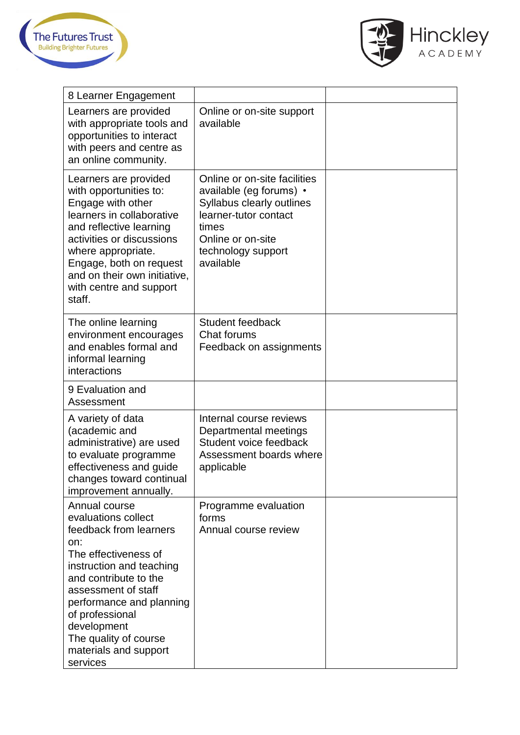



| 8 Learner Engagement                                                                                                                                                                                                                                                                                  |                                                                                                                                                                                |  |
|-------------------------------------------------------------------------------------------------------------------------------------------------------------------------------------------------------------------------------------------------------------------------------------------------------|--------------------------------------------------------------------------------------------------------------------------------------------------------------------------------|--|
| Learners are provided<br>with appropriate tools and<br>opportunities to interact<br>with peers and centre as<br>an online community.                                                                                                                                                                  | Online or on-site support<br>available                                                                                                                                         |  |
| Learners are provided<br>with opportunities to:<br>Engage with other<br>learners in collaborative<br>and reflective learning<br>activities or discussions<br>where appropriate.<br>Engage, both on request<br>and on their own initiative,<br>with centre and support<br>staff.                       | Online or on-site facilities<br>available (eg forums) •<br>Syllabus clearly outlines<br>learner-tutor contact<br>times<br>Online or on-site<br>technology support<br>available |  |
| The online learning<br>environment encourages<br>and enables formal and<br>informal learning<br>interactions                                                                                                                                                                                          | <b>Student feedback</b><br><b>Chat forums</b><br>Feedback on assignments                                                                                                       |  |
| 9 Evaluation and<br>Assessment                                                                                                                                                                                                                                                                        |                                                                                                                                                                                |  |
| A variety of data<br>(academic and<br>administrative) are used<br>to evaluate programme<br>effectiveness and guide<br>changes toward continual<br>improvement annually.                                                                                                                               | Internal course reviews<br>Departmental meetings<br>Student voice feedback<br>Assessment boards where<br>applicable                                                            |  |
| Annual course<br>evaluations collect<br>feedback from learners<br>on:<br>The effectiveness of<br>instruction and teaching<br>and contribute to the<br>assessment of staff<br>performance and planning<br>of professional<br>development<br>The quality of course<br>materials and support<br>services | Programme evaluation<br>forms<br>Annual course review                                                                                                                          |  |